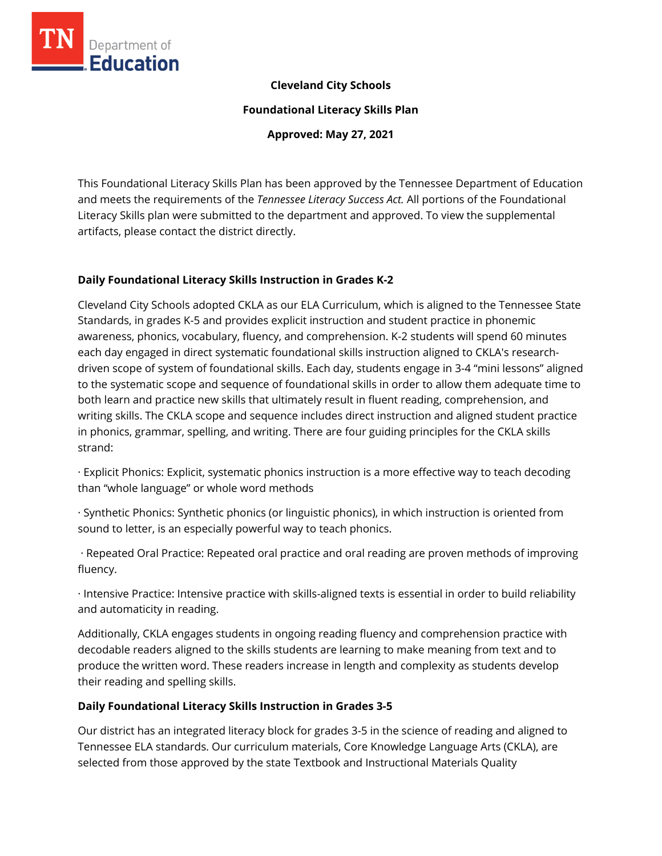

### **Cleveland City Schools**

**Foundational Literacy Skills Plan**

**Approved: May 27, 2021**

This Foundational Literacy Skills Plan has been approved by the Tennessee Department of Education and meets the requirements of the *Tennessee Literacy Success Act.* All portions of the Foundational Literacy Skills plan were submitted to the department and approved. To view the supplemental artifacts, please contact the district directly.

#### **Daily Foundational Literacy Skills Instruction in Grades K-2**

Cleveland City Schools adopted CKLA as our ELA Curriculum, which is aligned to the Tennessee State Standards, in grades K-5 and provides explicit instruction and student practice in phonemic awareness, phonics, vocabulary, fluency, and comprehension. K-2 students will spend 60 minutes each day engaged in direct systematic foundational skills instruction aligned to CKLA's researchdriven scope of system of foundational skills. Each day, students engage in 3-4 "mini lessons" aligned to the systematic scope and sequence of foundational skills in order to allow them adequate time to both learn and practice new skills that ultimately result in fluent reading, comprehension, and writing skills. The CKLA scope and sequence includes direct instruction and aligned student practice in phonics, grammar, spelling, and writing. There are four guiding principles for the CKLA skills strand:

· Explicit Phonics: Explicit, systematic phonics instruction is a more effective way to teach decoding than "whole language" or whole word methods

· Synthetic Phonics: Synthetic phonics (or linguistic phonics), in which instruction is oriented from sound to letter, is an especially powerful way to teach phonics.

· Repeated Oral Practice: Repeated oral practice and oral reading are proven methods of improving fluency.

· Intensive Practice: Intensive practice with skills-aligned texts is essential in order to build reliability and automaticity in reading.

Additionally, CKLA engages students in ongoing reading fluency and comprehension practice with decodable readers aligned to the skills students are learning to make meaning from text and to produce the written word. These readers increase in length and complexity as students develop their reading and spelling skills.

#### **Daily Foundational Literacy Skills Instruction in Grades 3-5**

Our district has an integrated literacy block for grades 3-5 in the science of reading and aligned to Tennessee ELA standards. Our curriculum materials, Core Knowledge Language Arts (CKLA), are selected from those approved by the state Textbook and Instructional Materials Quality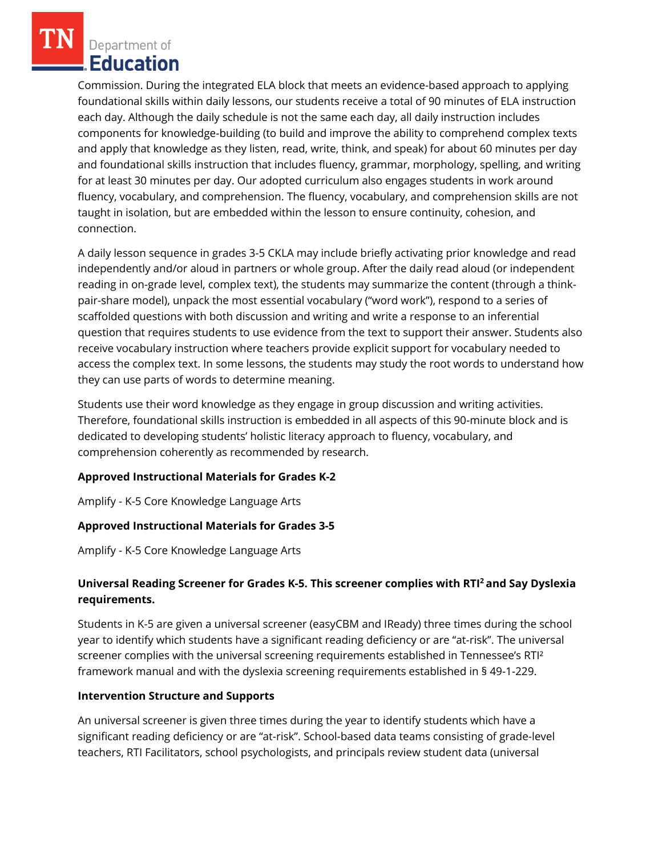Commission. During the integrated ELA block that meets an evidence-based approach to applying foundational skills within daily lessons, our students receive a total of 90 minutes of ELA instruction each day. Although the daily schedule is not the same each day, all daily instruction includes components for knowledge-building (to build and improve the ability to comprehend complex texts and apply that knowledge as they listen, read, write, think, and speak) for about 60 minutes per day and foundational skills instruction that includes fluency, grammar, morphology, spelling, and writing for at least 30 minutes per day. Our adopted curriculum also engages students in work around fluency, vocabulary, and comprehension. The fluency, vocabulary, and comprehension skills are not taught in isolation, but are embedded within the lesson to ensure continuity, cohesion, and connection.

A daily lesson sequence in grades 3-5 CKLA may include briefly activating prior knowledge and read independently and/or aloud in partners or whole group. After the daily read aloud (or independent reading in on-grade level, complex text), the students may summarize the content (through a thinkpair-share model), unpack the most essential vocabulary ("word work"), respond to a series of scaffolded questions with both discussion and writing and write a response to an inferential question that requires students to use evidence from the text to support their answer. Students also receive vocabulary instruction where teachers provide explicit support for vocabulary needed to access the complex text. In some lessons, the students may study the root words to understand how they can use parts of words to determine meaning.

Students use their word knowledge as they engage in group discussion and writing activities. Therefore, foundational skills instruction is embedded in all aspects of this 90-minute block and is dedicated to developing students' holistic literacy approach to fluency, vocabulary, and comprehension coherently as recommended by research.

# **Approved Instructional Materials for Grades K-2**

Amplify - K-5 Core Knowledge Language Arts

# **Approved Instructional Materials for Grades 3-5**

Amplify - K-5 Core Knowledge Language Arts

# **Universal Reading Screener for Grades K-5. This screener complies with RTI<sup>2</sup>and Say Dyslexia requirements.**

Students in K-5 are given a universal screener (easyCBM and IReady) three times during the school year to identify which students have a significant reading deficiency or are "at-risk". The universal screener complies with the universal screening requirements established in Tennessee's RTI² framework manual and with the dyslexia screening requirements established in § 49-1-229.

#### **Intervention Structure and Supports**

An universal screener is given three times during the year to identify students which have a significant reading deficiency or are "at-risk". School-based data teams consisting of grade-level teachers, RTI Facilitators, school psychologists, and principals review student data (universal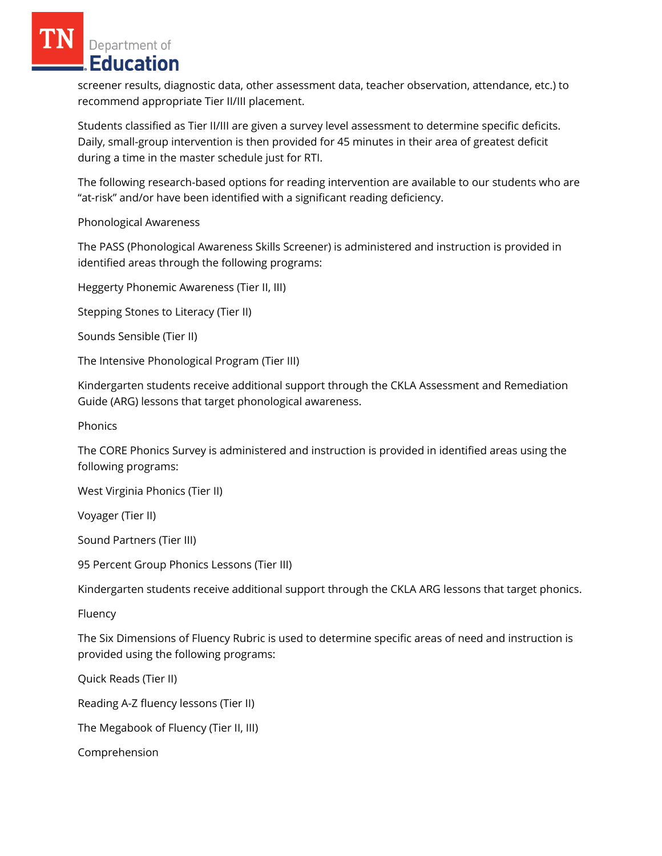screener results, diagnostic data, other assessment data, teacher observation, attendance, etc.) to recommend appropriate Tier II/III placement.

Students classified as Tier II/III are given a survey level assessment to determine specific deficits. Daily, small-group intervention is then provided for 45 minutes in their area of greatest deficit during a time in the master schedule just for RTI.

The following research-based options for reading intervention are available to our students who are "at-risk" and/or have been identified with a significant reading deficiency.

Phonological Awareness

The PASS (Phonological Awareness Skills Screener) is administered and instruction is provided in identified areas through the following programs:

Heggerty Phonemic Awareness (Tier II, III)

Stepping Stones to Literacy (Tier II)

Sounds Sensible (Tier II)

The Intensive Phonological Program (Tier III)

Kindergarten students receive additional support through the CKLA Assessment and Remediation Guide (ARG) lessons that target phonological awareness.

**Phonics** 

The CORE Phonics Survey is administered and instruction is provided in identified areas using the following programs:

West Virginia Phonics (Tier II)

Voyager (Tier II)

Sound Partners (Tier III)

95 Percent Group Phonics Lessons (Tier III)

Kindergarten students receive additional support through the CKLA ARG lessons that target phonics.

Fluency

The Six Dimensions of Fluency Rubric is used to determine specific areas of need and instruction is provided using the following programs:

Quick Reads (Tier II)

Reading A-Z fluency lessons (Tier II)

The Megabook of Fluency (Tier II, III)

Comprehension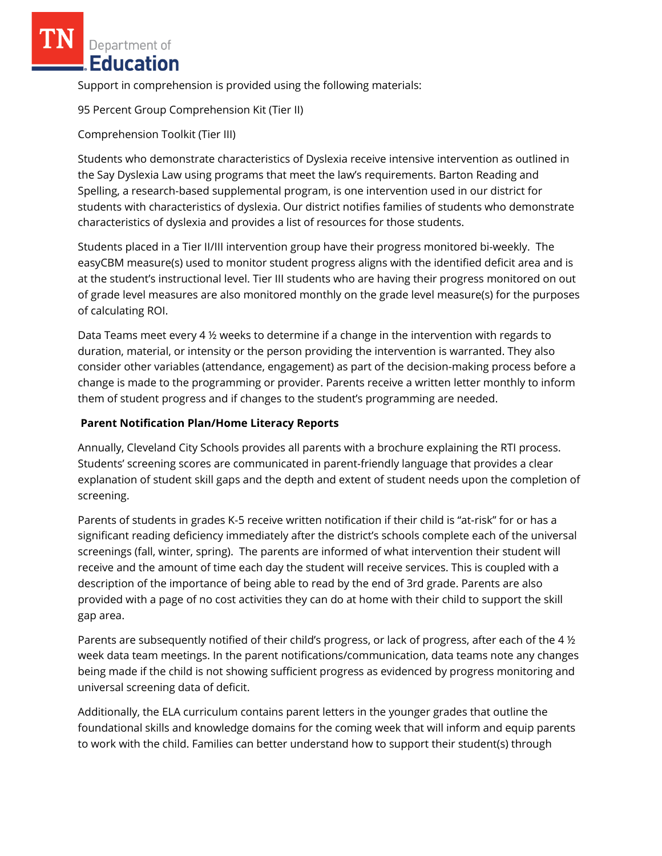Support in comprehension is provided using the following materials:

95 Percent Group Comprehension Kit (Tier II)

Comprehension Toolkit (Tier III)

Students who demonstrate characteristics of Dyslexia receive intensive intervention as outlined in the Say Dyslexia Law using programs that meet the law's requirements. Barton Reading and Spelling, a research-based supplemental program, is one intervention used in our district for students with characteristics of dyslexia. Our district notifies families of students who demonstrate characteristics of dyslexia and provides a list of resources for those students.

Students placed in a Tier II/III intervention group have their progress monitored bi-weekly. The easyCBM measure(s) used to monitor student progress aligns with the identified deficit area and is at the student's instructional level. Tier III students who are having their progress monitored on out of grade level measures are also monitored monthly on the grade level measure(s) for the purposes of calculating ROI.

Data Teams meet every 4 ½ weeks to determine if a change in the intervention with regards to duration, material, or intensity or the person providing the intervention is warranted. They also consider other variables (attendance, engagement) as part of the decision-making process before a change is made to the programming or provider. Parents receive a written letter monthly to inform them of student progress and if changes to the student's programming are needed.

### **Parent Notification Plan/Home Literacy Reports**

Annually, Cleveland City Schools provides all parents with a brochure explaining the RTI process. Students' screening scores are communicated in parent-friendly language that provides a clear explanation of student skill gaps and the depth and extent of student needs upon the completion of screening.

Parents of students in grades K-5 receive written notification if their child is "at-risk" for or has a significant reading deficiency immediately after the district's schools complete each of the universal screenings (fall, winter, spring). The parents are informed of what intervention their student will receive and the amount of time each day the student will receive services. This is coupled with a description of the importance of being able to read by the end of 3rd grade. Parents are also provided with a page of no cost activities they can do at home with their child to support the skill gap area.

Parents are subsequently notified of their child's progress, or lack of progress, after each of the 4 ½ week data team meetings. In the parent notifications/communication, data teams note any changes being made if the child is not showing sufficient progress as evidenced by progress monitoring and universal screening data of deficit.

Additionally, the ELA curriculum contains parent letters in the younger grades that outline the foundational skills and knowledge domains for the coming week that will inform and equip parents to work with the child. Families can better understand how to support their student(s) through